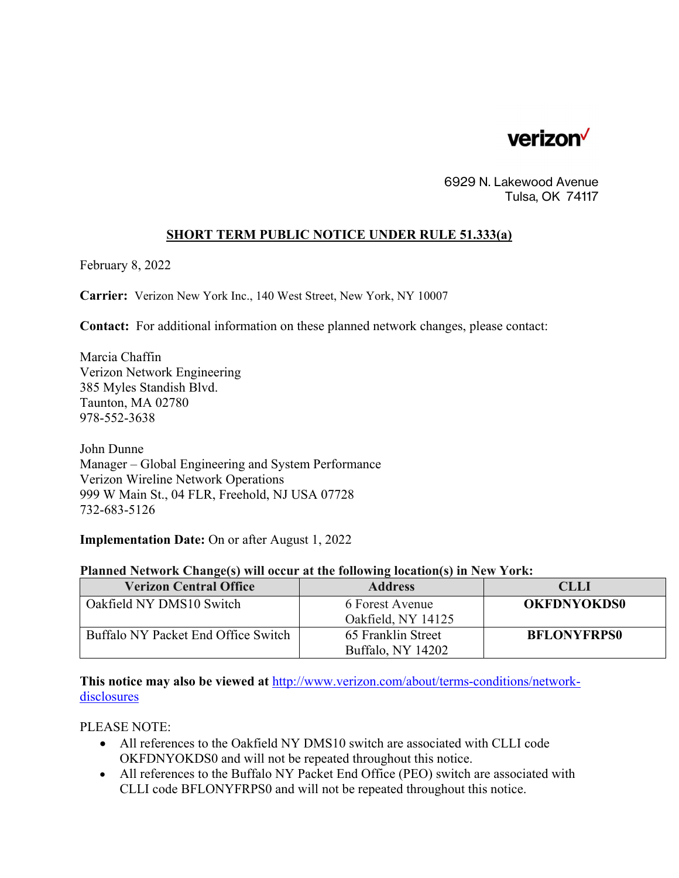

6929 N. Lakewood Avenue Tulsa, OK 74117

## **SHORT TERM PUBLIC NOTICE UNDER RULE 51.333(a)**

February 8, 2022

**Carrier:** Verizon New York Inc., 140 West Street, New York, NY 10007

**Contact:** For additional information on these planned network changes, please contact:

Marcia Chaffin Verizon Network Engineering 385 Myles Standish Blvd. Taunton, MA 02780 978-552-3638

John Dunne Manager – Global Engineering and System Performance Verizon Wireline Network Operations 999 W Main St., 04 FLR, Freehold, NJ USA 07728 732-683-5126

**Implementation Date:** On or after August 1, 2022

## **Planned Network Change(s) will occur at the following location(s) in New York:**

| <b>Verizon Central Office</b>       | <b>Address</b>                          | <b>CLLI</b>        |
|-------------------------------------|-----------------------------------------|--------------------|
| Oakfield NY DMS10 Switch            | 6 Forest Avenue<br>Oakfield, NY 14125   | <b>OKFDNYOKDS0</b> |
| Buffalo NY Packet End Office Switch | 65 Franklin Street<br>Buffalo, NY 14202 | <b>BFLONYFRPS0</b> |

**This notice may also be viewed at** <http://www.verizon.com/about/terms-conditions/network>disclosures

PLEASE NOTE:

- All references to the Oakfield NY DMS10 switch are associated with CLLI code OKFDNYOKDS0 and will not be repeated throughout this notice.
- All references to the Buffalo NY Packet End Office (PEO) switch are associated with CLLI code BFLONYFRPS0 and will not be repeated throughout this notice.